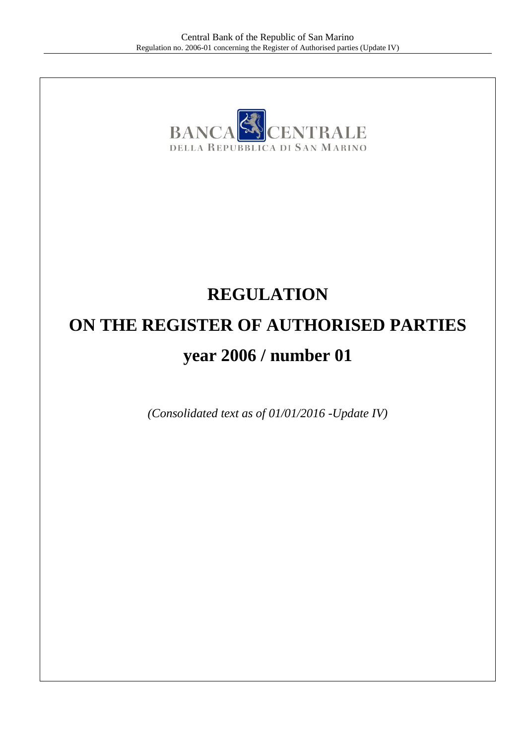

# **REGULATION ON THE REGISTER OF AUTHORISED PARTIES year 2006 / number 01**

*(Consolidated text as of 01/01/2016 -Update IV)*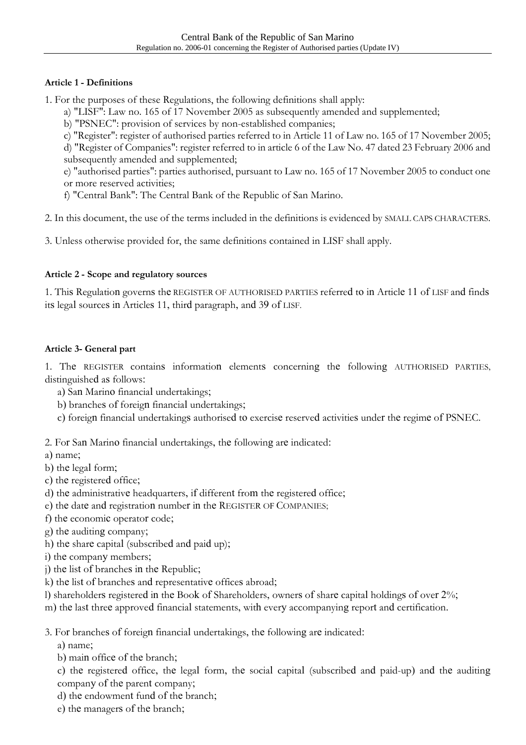## **Article 1 - Definitions**

1. For the purposes of these Regulations, the following definitions shall apply:

- a) "LISF": Law no. 165 of 17 November 2005 as subsequently amended and supplemented;
- b) "PSNEC": provision of services by non-established companies;
- c) "Register": register of authorised parties referred to in Article 11 of Law no. 165 of 17 November 2005;

d) "Register of Companies": register referred to in article 6 of the Law No. 47 dated 23 February 2006 and subsequently amended and supplemented;

e) "authorised parties": parties authorised, pursuant to Law no. 165 of 17 November 2005 to conduct one or more reserved activities;

f) "Central Bank": The Central Bank of the Republic of San Marino.

2. In this document, the use of the terms included in the definitions is evidenced by SMALL CAPS CHARACTERS.

3. Unless otherwise provided for, the same definitions contained in LISF shall apply.

## **Article 2 - Scope and regulatory sources**

1. This Regulation governs the REGISTER OF AUTHORISED PARTIES referred to in Article 11 of LISF and finds its legal sources in Articles 11, third paragraph, and 39 of LISF.

## **Article 3- General part**

1. The REGISTER contains information elements concerning the following AUTHORISED PARTIES, distinguished as follows:

- a) San Marino financial undertakings;
- b) branches of foreign financial undertakings;
- c) foreign financial undertakings authorised to exercise reserved activities under the regime of PSNEC.

2. For San Marino financial undertakings, the following are indicated:

a) name;

- b) the legal form;
- c) the registered office;
- d) the administrative headquarters, if different from the registered office;
- e) the date and registration number in the REGISTER OF COMPANIES;
- f) the economic operator code;
- g) the auditing company;
- h) the share capital (subscribed and paid up);
- i) the company members;
- j) the list of branches in the Republic;
- k) the list of branches and representative offices abroad;
- l) shareholders registered in the Book of Shareholders, owners of share capital holdings of over 2%;
- m) the last three approved financial statements, with every accompanying report and certification.

3. For branches of foreign financial undertakings, the following are indicated:

a) name;

b) main office of the branch;

c) the registered office, the legal form, the social capital (subscribed and paid-up) and the auditing company of the parent company;

- d) the endowment fund of the branch;
- e) the managers of the branch;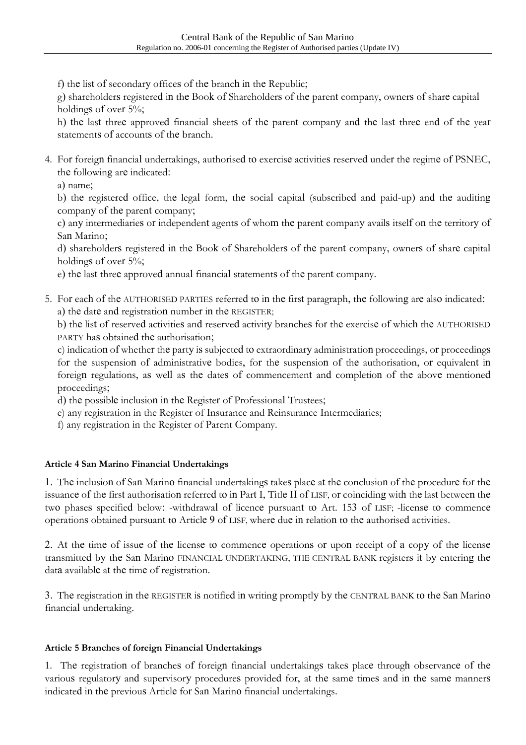f) the list of secondary offices of the branch in the Republic;

g) shareholders registered in the Book of Shareholders of the parent company, owners of share capital holdings of over 5%;

h) the last three approved financial sheets of the parent company and the last three end of the year statements of accounts of the branch.

4. For foreign financial undertakings, authorised to exercise activities reserved under the regime of PSNEC, the following are indicated:

a) name;

b) the registered office, the legal form, the social capital (subscribed and paid-up) and the auditing company of the parent company;

c) any intermediaries or independent agents of whom the parent company avails itself on the territory of San Marino;

d) shareholders registered in the Book of Shareholders of the parent company, owners of share capital holdings of over 5%;

e) the last three approved annual financial statements of the parent company.

5. For each of the AUTHORISED PARTIES referred to in the first paragraph, the following are also indicated: a) the date and registration number in the REGISTER;

b) the list of reserved activities and reserved activity branches for the exercise of which the AUTHORISED PARTY has obtained the authorisation;

c) indication of whether the party is subjected to extraordinary administration proceedings, or proceedings for the suspension of administrative bodies, for the suspension of the authorisation, or equivalent in foreign regulations, as well as the dates of commencement and completion of the above mentioned proceedings;

d) the possible inclusion in the Register of Professional Trustees;

- e) any registration in the Register of Insurance and Reinsurance Intermediaries;
- f) any registration in the Register of Parent Company.

# **Article 4 San Marino Financial Undertakings**

1. The inclusion of San Marino financial undertakings takes place at the conclusion of the procedure for the issuance of the first authorisation referred to in Part I, Title II of LISF, or coinciding with the last between the two phases specified below: -withdrawal of licence pursuant to Art. 153 of LISF; -license to commence operations obtained pursuant to Article 9 of LISF, where due in relation to the authorised activities.

2. At the time of issue of the license to commence operations or upon receipt of a copy of the license transmitted by the San Marino FINANCIAL UNDERTAKING, THE CENTRAL BANK registers it by entering the data available at the time of registration.

3. The registration in the REGISTER is notified in writing promptly by the CENTRAL BANK to the San Marino financial undertaking.

# **Article 5 Branches of foreign Financial Undertakings**

1. The registration of branches of foreign financial undertakings takes place through observance of the various regulatory and supervisory procedures provided for, at the same times and in the same manners indicated in the previous Article for San Marino financial undertakings.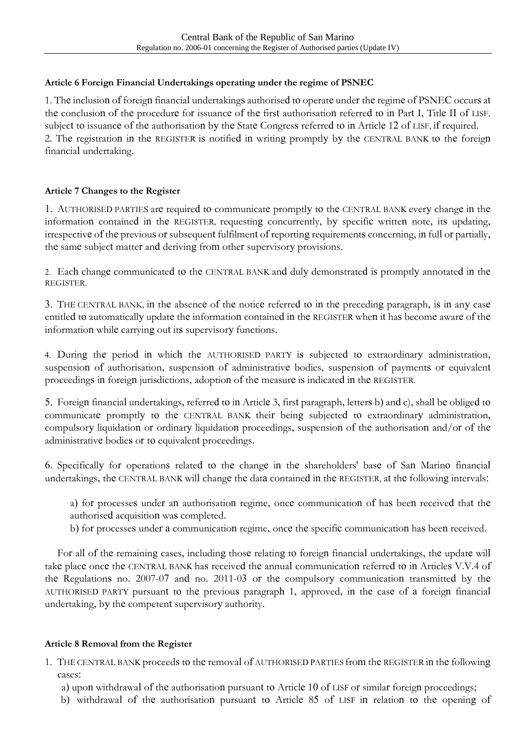## **Article 6 Foreign Financial Undertakings operating under the regime of PSNEC**

1. The inclusion of foreign financial undertakings authorised to operate under the regime of PSNEC occurs at the conclusion of the procedure for issuance of the first authorisation referred to in Part I, Title II of LISF, subject to issuance of the authorisation by the State Congress referred to in Article 12 of LISF, if required. 2. The registration in the REGISTER is notified in writing promptly by the CENTRAL BANK to the foreign financial undertaking.

#### **Article 7 Changes to the Register**

1. AUTHORISED PARTIES are required to communicate promptly to the CENTRAL BANK every change in the information contained in the REGISTER, requesting concurrently, by specific written note, its updating, irrespective of the previous or subsequent fulfilment of reporting requirements concerning, in full or partially, the same subject matter and deriving from other supervisory provisions.

2. Each change communicated to the CENTRAL BANK and duly demonstrated is promptly annotated in the REGISTER.

3. THE CENTRAL BANK, in the absence of the notice referred to in the preceding paragraph, is in any case entitled to automatically update the information contained in the REGISTER when it has become aware of the information while carrying out its supervisory functions.

4. During the period in which the AUTHORISED PARTY is subjected to extraordinary administration, suspension of authorisation, suspension of administrative bodies, suspension of payments or equivalent proceedings in foreign jurisdictions, adoption of the measure is indicated in the REGISTER.

5. Foreign financial undertakings, referred to in Article 3, first paragraph, letters b) and c), shall be obliged to communicate promptly to the CENTRAL BANK their being subjected to extraordinary administration, compulsory liquidation or ordinary liquidation proceedings, suspension of the authorisation and/or of the administrative bodies or to equivalent proceedings.

6. Specifically for operations related to the change in the shareholders' base of San Marino financial undertakings, the CENTRAL BANK will change the data contained in the REGISTER, at the following intervals:

a) for processes under an authorisation regime, once communication of has been received that the authorised acquisition was completed.

b) for processes under a communication regime, once the specific communication has been received.

For all of the remaining cases, including those relating to foreign financial undertakings, the update will take place once the CENTRAL BANK has received the annual communication referred to in Articles V.V.4 of the Regulations no. 2007-07 and no. 2011-03 or the compulsory communication transmitted by the AUTHORISED PARTY pursuant to the previous paragraph 1, approved, in the case of a foreign financial undertaking, by the competent supervisory authority.

#### **Article 8 Removal from the Register**

1. THE CENTRAL BANK proceeds to the removal of AUTHORISED PARTIES from the REGISTER in the following cases:

a) upon withdrawal of the authorisation pursuant to Article 10 of LISF or similar foreign proceedings;

b) withdrawal of the authorisation pursuant to Article 85 of LISF in relation to the opening of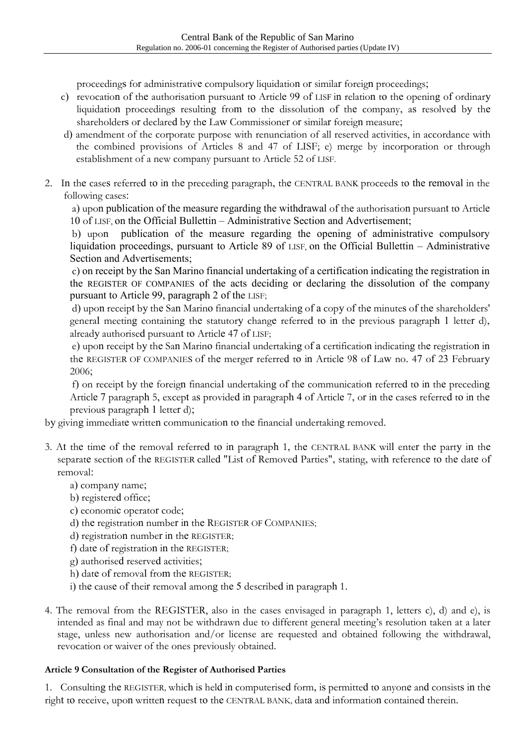proceedings for administrative compulsory liquidation or similar foreign proceedings;

- c) revocation of the authorisation pursuant to Article 99 of LISF in relation to the opening of ordinary liquidation proceedings resulting from to the dissolution of the company, as resolved by the shareholders or declared by the Law Commissioner or similar foreign measure;
- d) amendment of the corporate purpose with renunciation of all reserved activities, in accordance with the combined provisions of Articles 8 and 47 of LISF; e) merge by incorporation or through establishment of a new company pursuant to Article 52 of LISF.
- 2. In the cases referred to in the preceding paragraph, the CENTRAL BANK proceeds to the removal in the following cases:

 a) upon publication of the measure regarding the withdrawal of the authorisation pursuant to Article 10 of LISF, on the Official Bullettin – Administrative Section and Advertisement;

 b) upon publication of the measure regarding the opening of administrative compulsory liquidation proceedings, pursuant to Article 89 of LISF, on the Official Bullettin – Administrative Section and Advertisements;

 c) on receipt by the San Marino financial undertaking of a certification indicating the registration in the REGISTER OF COMPANIES of the acts deciding or declaring the dissolution of the company pursuant to Article 99, paragraph 2 of the LISF;

 d) upon receipt by the San Marino financial undertaking of a copy of the minutes of the shareholders' general meeting containing the statutory change referred to in the previous paragraph 1 letter d), already authorised pursuant to Article 47 of LISF;

 e) upon receipt by the San Marino financial undertaking of a certification indicating the registration in the REGISTER OF COMPANIES of the merger referred to in Article 98 of Law no. 47 of 23 February 2006;

 f) on receipt by the foreign financial undertaking of the communication referred to in the preceding Article 7 paragraph 5, except as provided in paragraph 4 of Article 7, or in the cases referred to in the previous paragraph 1 letter d);

by giving immediate written communication to the financial undertaking removed.

- 3. At the time of the removal referred to in paragraph 1, the CENTRAL BANK will enter the party in the separate section of the REGISTER called "List of Removed Parties", stating, with reference to the date of removal:
	- a) company name;
	- b) registered office;
	- c) economic operator code;
	- d) the registration number in the REGISTER OF COMPANIES;
	- d) registration number in the REGISTER;
	- f) date of registration in the REGISTER;
	- g) authorised reserved activities;
	- h) date of removal from the REGISTER;
	- i) the cause of their removal among the 5 described in paragraph 1.
- 4. The removal from the REGISTER, also in the cases envisaged in paragraph 1, letters c), d) and e), is intended as final and may not be withdrawn due to different general meeting's resolution taken at a later stage, unless new authorisation and/or license are requested and obtained following the withdrawal, revocation or waiver of the ones previously obtained.

# **Article 9 Consultation of the Register of Authorised Parties**

1. Consulting the REGISTER, which is held in computerised form, is permitted to anyone and consists in the right to receive, upon written request to the CENTRAL BANK, data and information contained therein.